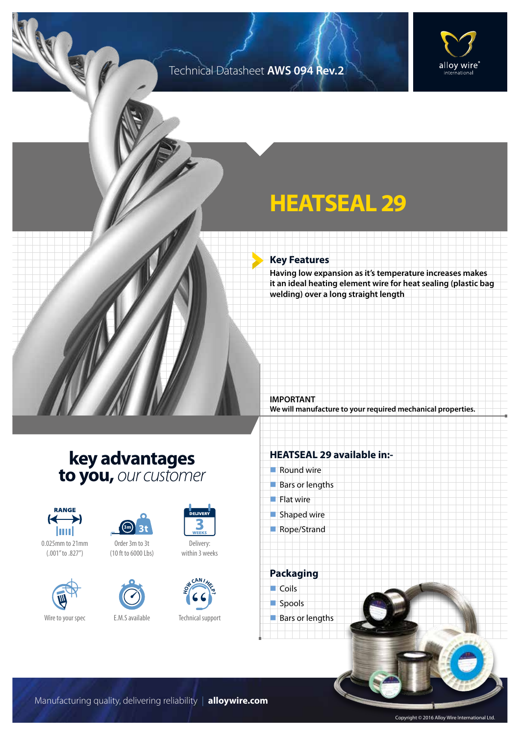### Technical Datasheet **AWS 094 Rev.2**



# **HEATSEAL 29**

### **Key Features**

**Having low expansion as it's temperature increases makes it an ideal heating element wire for heat sealing (plastic bag welding) over a long straight length** 

**IMPORTANT We will manufacture to your required mechanical properties.**

## **key advantages to you,** *our customer*



0.025mm to 21mm (.001" to .827")





Order 3m to 3t (10 ft to 6000 Lbs)



Wire to your spec E.M.S available



Delivery: within 3 weeks



Technical support

### **HEATSEAL 29 available in:-**

- $\blacksquare$  Round wire
- $Bars$  or lengths
- $\blacksquare$  Flat wire
- $\blacksquare$  Shaped wire
- Rope/Strand

**Packaging**  $\Box$  Coils



Manufacturing quality, delivering reliability | **alloywire.com**